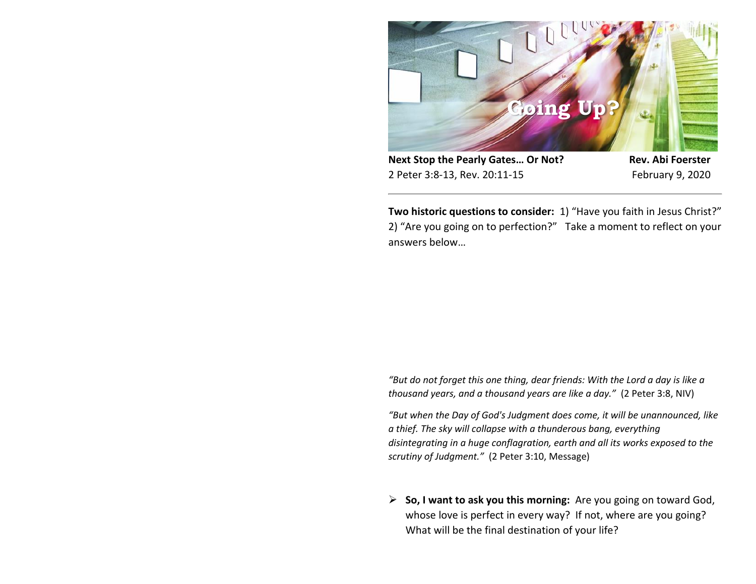

2 Peter 3:8-13, Rev. 20:11-15 February 9, 2020

**Two historic questions to consider:** 1) "Have you faith in Jesus Christ?" 2) "Are you going on to perfection?"Take a moment to reflect on your answers below…

*"But do not forget this one thing, dear friends: With the Lord a day is like a thousand years, and a thousand years are like a day."* (2 Peter 3:8, NIV)

*"But when the Day of God's Judgment does come, it will be unannounced, like a thief. The sky will collapse with a thunderous bang, everything disintegrating in a huge conflagration, earth and all its works exposed to the scrutiny of Judgment."* (2 Peter 3:10, Message)

 **So, I want to ask you this morning:** Are you going on toward God, whose love is perfect in every way? If not, where are you going? What will be the final destination of your life?